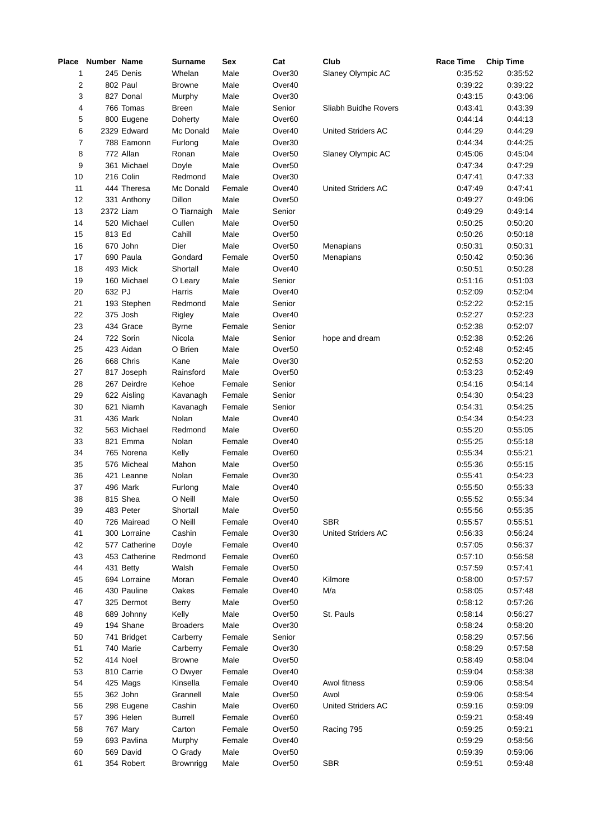|          | Place Number Name |               | <b>Surname</b>   | Sex          | Cat                | Club                 | <b>Race Time</b>   | <b>Chip Time</b>   |
|----------|-------------------|---------------|------------------|--------------|--------------------|----------------------|--------------------|--------------------|
| 1        |                   | 245 Denis     | Whelan           | Male         | Over30             | Slaney Olympic AC    | 0:35:52            | 0:35:52            |
| 2        |                   | 802 Paul      | <b>Browne</b>    | Male         | Over40             |                      | 0:39:22            | 0:39:22            |
| 3        |                   | 827 Donal     | Murphy           | Male         | Over30             |                      | 0:43:15            | 0:43:06            |
| 4        |                   | 766 Tomas     | Breen            | Male         | Senior             | Sliabh Buidhe Rovers | 0:43:41            | 0:43:39            |
| 5        |                   | 800 Eugene    | Doherty          | Male         | Over <sub>60</sub> |                      | 0:44:14            | 0:44:13            |
| 6        |                   | 2329 Edward   | Mc Donald        | Male         | Over40             | United Striders AC   | 0:44:29            | 0:44:29            |
| 7        |                   | 788 Eamonn    | Furlong          | Male         | Over30             |                      | 0:44:34            | 0:44:25            |
| 8        |                   | 772 Allan     | Ronan            | Male         | Over <sub>50</sub> | Slaney Olympic AC    | 0:45:06            | 0:45:04            |
| 9        |                   | 361 Michael   | Doyle            | Male         | Over <sub>50</sub> |                      | 0:47:34            | 0:47:29            |
| 10       |                   | 216 Colin     | Redmond          | Male         | Over30             |                      | 0:47:41            | 0:47:33            |
| 11       |                   | 444 Theresa   | Mc Donald        | Female       | Over40             | United Striders AC   | 0:47:49            | 0:47:41            |
| 12       |                   | 331 Anthony   | Dillon           | Male         | Over <sub>50</sub> |                      | 0:49:27            | 0:49:06            |
| 13       | 2372 Liam         |               | O Tiarnaigh      | Male         | Senior             |                      | 0:49:29            | 0:49:14            |
| 14       |                   | 520 Michael   | Cullen           | Male         | Over <sub>50</sub> |                      | 0:50:25            | 0:50:20            |
| 15       | 813 Ed            |               | Cahill           | Male         | Over <sub>50</sub> |                      | 0:50:26            | 0:50:18            |
| 16       |                   | 670 John      | Dier             | Male         | Over <sub>50</sub> | Menapians            | 0:50:31            | 0:50:31            |
| 17       |                   | 690 Paula     | Gondard          | Female       | Over <sub>50</sub> | Menapians            | 0:50:42            | 0:50:36            |
| 18       |                   | 493 Mick      | Shortall         | Male         | Over40             |                      | 0:50:51            | 0:50:28            |
| 19       |                   | 160 Michael   | O Leary          | Male         | Senior             |                      | 0:51:16            | 0:51:03            |
| 20       | 632 PJ            |               | Harris           | Male         | Over40             |                      | 0:52:09            | 0:52:04            |
| 21       |                   | 193 Stephen   | Redmond          | Male         | Senior             |                      | 0:52:22            | 0:52:15            |
| 22       |                   | 375 Josh      | Rigley           | Male         | Over40             |                      | 0:52:27            | 0:52:23            |
| 23       |                   | 434 Grace     | <b>Byrne</b>     | Female       | Senior             |                      | 0:52:38            | 0:52:07            |
| 24       |                   | 722 Sorin     | Nicola           | Male         | Senior             | hope and dream       | 0:52:38            | 0:52:26            |
| 25       |                   | 423 Aidan     | O Brien          | Male         | Over <sub>50</sub> |                      | 0:52:48            | 0:52:45            |
| 26       |                   | 668 Chris     | Kane             | Male         | Over30             |                      | 0:52:53            | 0:52:20            |
| 27       |                   | 817 Joseph    | Rainsford        | Male         | Over <sub>50</sub> |                      | 0:53:23            | 0:52:49            |
| 28       |                   | 267 Deirdre   | Kehoe            | Female       | Senior             |                      | 0:54:16            | 0:54:14            |
| 29       |                   | 622 Aisling   |                  | Female       | Senior             |                      | 0:54:30            | 0:54:23            |
| 30       |                   | 621 Niamh     | Kavanagh         |              | Senior             |                      | 0:54:31            | 0:54:25            |
|          |                   | 436 Mark      | Kavanagh         | Female       |                    |                      |                    |                    |
| 31<br>32 |                   | 563 Michael   | Nolan<br>Redmond | Male<br>Male | Over40             |                      | 0:54:34<br>0:55:20 | 0:54:23<br>0:55:05 |
|          |                   |               |                  |              | Over <sub>60</sub> |                      |                    |                    |
| 33       |                   | 821 Emma      | Nolan            | Female       | Over40             |                      | 0:55:25            | 0:55:18            |
| 34       |                   | 765 Norena    | Kelly            | Female       | Over <sub>60</sub> |                      | 0:55:34            | 0:55:21            |
| 35       |                   | 576 Micheal   | Mahon            | Male         | Over <sub>50</sub> |                      | 0:55:36            | 0:55:15            |
| 36       |                   | 421 Leanne    | Nolan            | Female       | Over30             |                      | 0:55:41            | 0:54:23            |
| 37       |                   | 496 Mark      | Furlong          | Male         | Over40             |                      | 0:55:50            | 0:55:33            |
| 38       |                   | 815 Shea      | O Neill          | Male         | Over <sub>50</sub> |                      | 0:55:52            | 0:55:34            |
| 39       |                   | 483 Peter     | Shortall         | Male         | Over <sub>50</sub> |                      | 0:55:56            | 0:55:35            |
| 40       |                   | 726 Mairead   | O Neill          | Female       | Over40             | <b>SBR</b>           | 0:55:57            | 0:55:51            |
| 41       |                   | 300 Lorraine  | Cashin           | Female       | Over30             | United Striders AC   | 0:56:33            | 0:56:24            |
| 42       |                   | 577 Catherine | Doyle            | Female       | Over40             |                      | 0:57:05            | 0:56:37            |
| 43       |                   | 453 Catherine | Redmond          | Female       | Over60             |                      | 0:57:10            | 0:56:58            |
| 44       |                   | 431 Betty     | Walsh            | Female       | Over <sub>50</sub> |                      | 0:57:59            | 0:57:41            |
| 45       |                   | 694 Lorraine  | Moran            | Female       | Over40             | Kilmore              | 0:58:00            | 0:57:57            |
| 46       |                   | 430 Pauline   | Oakes            | Female       | Over40             | M/a                  | 0:58:05            | 0:57:48            |
| 47       |                   | 325 Dermot    | Berry            | Male         | Over <sub>50</sub> |                      | 0:58:12            | 0:57:26            |
| 48       |                   | 689 Johnny    | Kelly            | Male         | Over <sub>50</sub> | St. Pauls            | 0:58:14            | 0:56:27            |
| 49       |                   | 194 Shane     | <b>Broaders</b>  | Male         | Over30             |                      | 0:58:24            | 0:58:20            |
| 50       |                   | 741 Bridget   | Carberry         | Female       | Senior             |                      | 0:58:29            | 0:57:56            |
| 51       |                   | 740 Marie     | Carberry         | Female       | Over30             |                      | 0:58:29            | 0:57:58            |
| 52       |                   | 414 Noel      | <b>Browne</b>    | Male         | Over <sub>50</sub> |                      | 0:58:49            | 0:58:04            |
| 53       |                   | 810 Carrie    | O Dwyer          | Female       | Over40             |                      | 0:59:04            | 0:58:38            |
| 54       |                   | 425 Mags      | Kinsella         | Female       | Over40             | Awol fitness         | 0:59:06            | 0:58:54            |
| 55       |                   | 362 John      | Grannell         | Male         | Over <sub>50</sub> | Awol                 | 0:59:06            | 0:58:54            |
| 56       |                   | 298 Eugene    | Cashin           | Male         | Over60             | United Striders AC   | 0:59:16            | 0:59:09            |
| 57       |                   | 396 Helen     | Burrell          | Female       | Over60             |                      | 0:59:21            | 0:58:49            |
| 58       |                   | 767 Mary      | Carton           | Female       | Over <sub>50</sub> | Racing 795           | 0:59:25            | 0:59:21            |
| 59       |                   | 693 Pavlina   | Murphy           | Female       | Over40             |                      | 0:59:29            | 0:58:56            |
| 60       |                   | 569 David     | O Grady          | Male         | Over <sub>50</sub> |                      | 0:59:39            | 0:59:06            |
| 61       |                   | 354 Robert    | Brownrigg        | Male         | Over <sub>50</sub> | <b>SBR</b>           | 0:59:51            | 0:59:48            |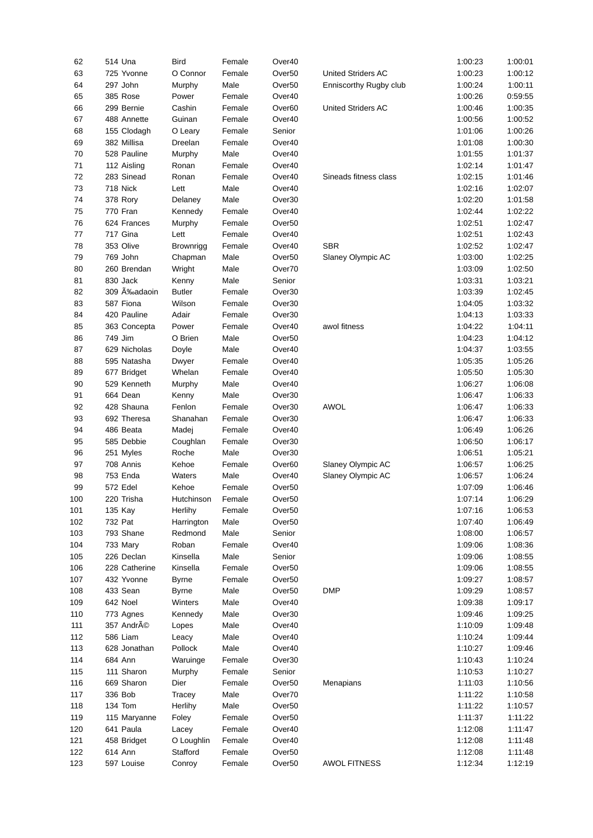| 62  | 514 Una       | <b>Bird</b>   | Female | Over40             |                        | 1:00:23 | 1:00:01 |
|-----|---------------|---------------|--------|--------------------|------------------------|---------|---------|
| 63  | 725 Yvonne    | O Connor      | Female | Over <sub>50</sub> | United Striders AC     | 1:00:23 | 1:00:12 |
| 64  | 297 John      | Murphy        | Male   | Over <sub>50</sub> | Enniscorthy Rugby club | 1:00:24 | 1:00:11 |
| 65  | 385 Rose      | Power         | Female | Over40             |                        | 1:00:26 | 0:59:55 |
| 66  | 299 Bernie    | Cashin        | Female | Over <sub>60</sub> | United Striders AC     | 1:00:46 | 1:00:35 |
| 67  | 488 Annette   | Guinan        | Female | Over40             |                        | 1:00:56 | 1:00:52 |
| 68  | 155 Clodagh   | O Leary       | Female | Senior             |                        | 1:01:06 | 1:00:26 |
| 69  | 382 Millisa   | Dreelan       | Female | Over40             |                        | 1:01:08 | 1:00:30 |
| 70  | 528 Pauline   | Murphy        | Male   | Over40             |                        | 1:01:55 | 1:01:37 |
| 71  | 112 Aisling   | Ronan         | Female | Over40             |                        | 1:02:14 | 1:01:47 |
| 72  | 283 Sinead    | Ronan         | Female | Over40             | Sineads fitness class  | 1:02:15 | 1:01:46 |
| 73  | 718 Nick      | Lett          | Male   | Over40             |                        | 1:02:16 | 1:02:07 |
| 74  | 378 Rory      | Delaney       | Male   | Over30             |                        | 1:02:20 | 1:01:58 |
| 75  | 770 Fran      | Kennedy       | Female | Over40             |                        | 1:02:44 | 1:02:22 |
| 76  | 624 Frances   | Murphy        | Female | Over <sub>50</sub> |                        | 1:02:51 | 1:02:47 |
| 77  | 717 Gina      | Lett          | Female | Over40             |                        | 1:02:51 | 1:02:43 |
| 78  | 353 Olive     | Brownrigg     | Female | Over40             | <b>SBR</b>             | 1:02:52 | 1:02:47 |
| 79  | 769 John      | Chapman       | Male   | Over <sub>50</sub> | Slaney Olympic AC      | 1:03:00 | 1:02:25 |
| 80  | 260 Brendan   | Wright        | Male   | Over70             |                        | 1:03:09 | 1:02:50 |
| 81  | 830 Jack      | Kenny         | Male   | Senior             |                        | 1:03:31 | 1:03:21 |
| 82  | 309 A‰adaoin  | <b>Butler</b> | Female | Over30             |                        | 1:03:39 | 1:02:45 |
| 83  | 587 Fiona     | Wilson        | Female | Over30             |                        | 1:04:05 | 1:03:32 |
| 84  | 420 Pauline   | Adair         | Female | Over30             |                        | 1:04:13 | 1:03:33 |
| 85  | 363 Concepta  | Power         | Female | Over40             | awol fitness           | 1:04:22 | 1:04:11 |
| 86  | 749 Jim       | O Brien       | Male   | Over <sub>50</sub> |                        | 1:04:23 | 1:04:12 |
| 87  | 629 Nicholas  | Doyle         | Male   | Over40             |                        | 1:04:37 | 1:03:55 |
| 88  | 595 Natasha   | Dwyer         | Female | Over40             |                        | 1:05:35 | 1:05:26 |
| 89  | 677 Bridget   | Whelan        | Female | Over40             |                        | 1:05:50 | 1:05:30 |
| 90  | 529 Kenneth   | Murphy        | Male   | Over40             |                        | 1:06:27 | 1:06:08 |
| 91  | 664 Dean      | Kenny         | Male   | Over30             |                        | 1:06:47 | 1:06:33 |
| 92  | 428 Shauna    | Fenlon        | Female | Over30             | <b>AWOL</b>            | 1:06:47 | 1:06:33 |
| 93  | 692 Theresa   | Shanahan      | Female | Over30             |                        | 1:06:47 | 1:06:33 |
| 94  | 486 Beata     | Madej         | Female | Over40             |                        | 1:06:49 | 1:06:26 |
| 95  | 585 Debbie    | Coughlan      | Female | Over30             |                        | 1:06:50 | 1:06:17 |
| 96  | 251 Myles     | Roche         | Male   | Over30             |                        | 1:06:51 | 1:05:21 |
| 97  | 708 Annis     | Kehoe         | Female | Over <sub>60</sub> | Slaney Olympic AC      | 1:06:57 | 1:06:25 |
| 98  | 753 Enda      | Waters        | Male   | Over40             | Slaney Olympic AC      | 1:06:57 | 1:06:24 |
| 99  | 572 Edel      | Kehoe         | Female | Over <sub>50</sub> |                        | 1:07:09 | 1:06:46 |
| 100 | 220 Trisha    | Hutchinson    | Female | Over <sub>50</sub> |                        | 1:07:14 | 1:06:29 |
| 101 | 135 Kay       | Herlihy       | Female | Over <sub>50</sub> |                        | 1:07:16 | 1:06:53 |
| 102 | 732 Pat       | Harrington    | Male   | Over <sub>50</sub> |                        | 1:07:40 | 1:06:49 |
| 103 | 793 Shane     | Redmond       | Male   | Senior             |                        | 1:08:00 | 1:06:57 |
| 104 | 733 Mary      | Roban         | Female | Over40             |                        | 1:09:06 | 1:08:36 |
| 105 | 226 Declan    | Kinsella      | Male   | Senior             |                        | 1:09:06 | 1:08:55 |
| 106 | 228 Catherine | Kinsella      | Female | Over <sub>50</sub> |                        | 1:09:06 | 1:08:55 |
| 107 | 432 Yvonne    | <b>Byrne</b>  | Female | Over <sub>50</sub> |                        | 1:09:27 | 1:08:57 |
| 108 | 433 Sean      | <b>Byrne</b>  | Male   | Over <sub>50</sub> | <b>DMP</b>             | 1:09:29 | 1:08:57 |
| 109 | 642 Noel      | Winters       | Male   | Over40             |                        | 1:09:38 | 1:09:17 |
| 110 | 773 Agnes     | Kennedy       | Male   | Over30             |                        | 1:09:46 | 1:09:25 |
| 111 | 357 André     | Lopes         | Male   | Over40             |                        | 1:10:09 | 1:09:48 |
| 112 | 586 Liam      | Leacy         | Male   | Over40             |                        | 1:10:24 | 1:09:44 |
| 113 | 628 Jonathan  | Pollock       | Male   | Over40             |                        | 1:10:27 | 1:09:46 |
| 114 | 684 Ann       | Waruinge      | Female | Over30             |                        | 1:10:43 | 1:10:24 |
| 115 | 111 Sharon    | Murphy        | Female | Senior             |                        | 1:10:53 | 1:10:27 |
| 116 | 669 Sharon    | Dier          | Female | Over <sub>50</sub> | Menapians              | 1:11:03 | 1:10:56 |
| 117 | 336 Bob       | Tracey        | Male   | Over70             |                        | 1:11:22 | 1:10:58 |
| 118 | 134 Tom       | Herlihy       | Male   | Over <sub>50</sub> |                        | 1:11:22 | 1:10:57 |
| 119 | 115 Maryanne  | Foley         | Female | Over <sub>50</sub> |                        | 1:11:37 | 1:11:22 |
| 120 | 641 Paula     | Lacey         | Female | Over40             |                        | 1:12:08 | 1:11:47 |
| 121 | 458 Bridget   | O Loughlin    | Female | Over40             |                        | 1:12:08 | 1:11:48 |
| 122 | 614 Ann       | Stafford      | Female | Over <sub>50</sub> |                        | 1:12:08 | 1:11:48 |
| 123 | 597 Louise    | Conroy        | Female | Over <sub>50</sub> | <b>AWOL FITNESS</b>    | 1:12:34 | 1:12:19 |
|     |               |               |        |                    |                        |         |         |

|                     | 1:00:23 | T:00:0T |
|---------------------|---------|---------|
| ed Striders AC      | 1:00:23 | 1:00:12 |
| iscorthy Rugby club | 1:00:24 | 1:00:11 |
|                     | 1:00:26 | 0:59:55 |
| ed Striders AC      | 1:00:46 | 1:00:35 |
|                     | 1:00:56 | 1:00:52 |
|                     | 1:01:06 | 1:00:26 |
|                     | 1:01:08 | 1:00:30 |
|                     | 1:01:55 | 1:01:37 |
|                     | 1:02:14 | 1:01:47 |
| eads fitness class  | 1:02:15 | 1:01:46 |
|                     | 1:02:16 | 1:02:07 |
|                     | 1:02:20 | 1:01:58 |
|                     | 1:02:44 | 1:02:22 |
|                     | 1:02:51 | 1:02:47 |
|                     | 1:02:51 | 1:02:43 |
| ξ                   | 1:02:52 | 1:02:47 |
| ey Olympic AC       | 1:03:00 | 1:02:25 |
|                     | 1:03:09 | 1:02:50 |
|                     | 1:03:31 | 1:03:21 |
|                     | 1:03:39 | 1:02:45 |
|                     | 1:04:05 | 1:03:32 |
|                     | 1:04:13 | 1:03:33 |
| I fitness           | 1:04:22 | 1:04:11 |
|                     | 1:04:23 | 1:04:12 |
|                     | 1:04:37 | 1:03:55 |
|                     | 1:05:35 | 1:05:26 |
|                     | 1:05:50 | 1:05:30 |
|                     | 1:06:27 | 1:06:08 |
|                     | 1:06:47 | 1:06:33 |
| ЭL                  | 1:06:47 | 1:06:33 |
|                     | 1:06:47 | 1:06:33 |
|                     | 1:06:49 | 1:06:26 |
|                     | 1:06:50 | 1:06:17 |
|                     | 1:06:51 | 1:05:21 |
| ey Olympic AC       | 1:06:57 | 1:06:25 |
| ey Olympic AC       | 1:06:57 | 1:06:24 |
|                     | 1:07:09 | 1:06:46 |
|                     | 1:07:14 | 1:06:29 |
|                     | 1:07:16 | 1:06:53 |
|                     | 1:07:40 | 1:06:49 |
|                     | 1:08:00 | 1:06:57 |
|                     | 1:09:06 | 1:08:36 |
|                     | 1:09:06 | 1:08:55 |
|                     | 1:09:06 | 1:08:55 |
|                     | 1:09:27 | 1:08:57 |
| $\mathsf{c}$        | 1:09:29 | 1:08:57 |
|                     | 1:09:38 | 1:09:17 |
|                     | 1:09:46 | 1:09:25 |
|                     | 1:10:09 | 1:09:48 |
|                     | 1:10:24 | 1:09:44 |
|                     | 1:10:27 | 1:09:46 |
|                     | 1:10:43 | 1:10:24 |
|                     | 1:10:53 | 1:10:27 |
| ıapians             | 1:11:03 | 1:10:56 |
|                     | 1:11:22 | 1:10:58 |
|                     | 1:11:22 | 1:10:57 |
|                     | 1:11:37 | 1:11:22 |
|                     | 1:12:08 | 1:11:47 |
|                     | 1:12:08 | 1:11:48 |
|                     | 1:12:08 | 1:11:48 |
| <b>OL FITNESS</b>   | 1:12:34 | 1:12:19 |
|                     |         |         |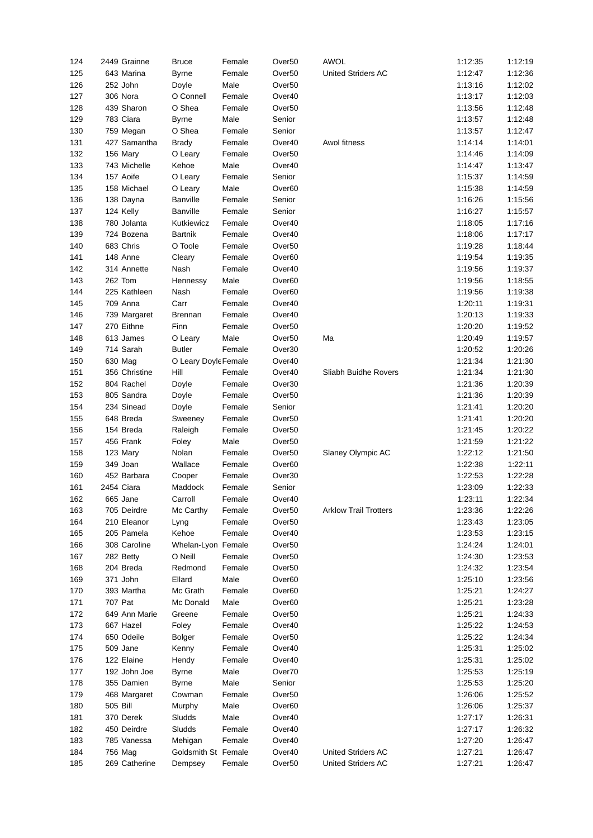| 124 | 2449 Grainne    | <b>Bruce</b>         | Female | Over <sub>50</sub> | <b>AWOL</b>                  | 1:12:35 | 1:12:19 |
|-----|-----------------|----------------------|--------|--------------------|------------------------------|---------|---------|
| 125 | 643 Marina      | <b>Byrne</b>         | Female | Over <sub>50</sub> | United Striders AC           | 1:12:47 | 1:12:36 |
| 126 | 252 John        | Doyle                | Male   | Over <sub>50</sub> |                              | 1:13:16 | 1:12:02 |
| 127 | 306 Nora        | O Connell            | Female | Over40             |                              | 1:13:17 | 1:12:03 |
| 128 | 439 Sharon      | O Shea               | Female | Over <sub>50</sub> |                              | 1:13:56 | 1:12:48 |
| 129 | 783 Ciara       | <b>Byrne</b>         | Male   | Senior             |                              | 1:13:57 | 1:12:48 |
| 130 | 759 Megan       | O Shea               | Female | Senior             |                              | 1:13:57 | 1:12:47 |
| 131 | 427 Samantha    | <b>Brady</b>         | Female | Over40             | Awol fitness                 | 1:14:14 | 1:14:01 |
| 132 | 156 Mary        | O Leary              | Female | Over <sub>50</sub> |                              | 1:14:46 | 1:14:09 |
| 133 | 743 Michelle    | Kehoe                | Male   | Over40             |                              | 1:14:47 | 1:13:47 |
| 134 | 157 Aoife       | O Leary              | Female | Senior             |                              | 1:15:37 | 1:14:59 |
| 135 | 158 Michael     | O Leary              | Male   | Over <sub>60</sub> |                              | 1:15:38 | 1:14:59 |
| 136 | 138 Dayna       | Banville             | Female | Senior             |                              | 1:16:26 | 1:15:56 |
| 137 | 124 Kelly       | <b>Banville</b>      | Female | Senior             |                              | 1:16:27 | 1:15:57 |
| 138 | 780 Jolanta     | Kutkiewicz           | Female | Over40             |                              | 1:18:05 | 1:17:16 |
| 139 | 724 Bozena      | <b>Bartnik</b>       | Female | Over40             |                              | 1:18:06 | 1:17:17 |
| 140 | 683 Chris       | O Toole              | Female | Over <sub>50</sub> |                              | 1:19:28 | 1:18:44 |
| 141 | 148 Anne        | Cleary               | Female |                    |                              | 1:19:54 |         |
|     |                 |                      |        | Over <sub>60</sub> |                              |         | 1:19:35 |
| 142 | 314 Annette     | Nash                 | Female | Over40             |                              | 1:19:56 | 1:19:37 |
| 143 | 262 Tom         | Hennessy             | Male   | Over <sub>60</sub> |                              | 1:19:56 | 1:18:55 |
| 144 | 225 Kathleen    | Nash                 | Female | Over <sub>60</sub> |                              | 1:19:56 | 1:19:38 |
| 145 | 709 Anna        | Carr                 | Female | Over40             |                              | 1:20:11 | 1:19:31 |
| 146 | 739 Margaret    | <b>Brennan</b>       | Female | Over40             |                              | 1:20:13 | 1:19:33 |
| 147 | 270 Eithne      | Finn                 | Female | Over <sub>50</sub> |                              | 1:20:20 | 1:19:52 |
| 148 | 613 James       | O Leary              | Male   | Over <sub>50</sub> | Ma                           | 1:20:49 | 1:19:57 |
| 149 | 714 Sarah       | <b>Butler</b>        | Female | Over30             |                              | 1:20:52 | 1:20:26 |
| 150 | 630 Mag         | O Leary Doyle Female |        | Over40             |                              | 1:21:34 | 1:21:30 |
| 151 | 356 Christine   | Hill                 | Female | Over40             | Sliabh Buidhe Rovers         | 1:21:34 | 1:21:30 |
| 152 | 804 Rachel      | Doyle                | Female | Over30             |                              | 1:21:36 | 1:20:39 |
| 153 | 805 Sandra      | Doyle                | Female | Over <sub>50</sub> |                              | 1:21:36 | 1:20:39 |
| 154 | 234 Sinead      | Doyle                | Female | Senior             |                              | 1:21:41 | 1:20:20 |
| 155 | 648 Breda       | Sweeney              | Female | Over <sub>50</sub> |                              | 1:21:41 | 1:20:20 |
| 156 | 154 Breda       | Raleigh              | Female | Over <sub>50</sub> |                              | 1:21:45 | 1:20:22 |
| 157 | 456 Frank       | Foley                | Male   | Over <sub>50</sub> |                              | 1:21:59 | 1:21:22 |
| 158 | 123 Mary        | Nolan                | Female | Over <sub>50</sub> | Slaney Olympic AC            | 1:22:12 | 1:21:50 |
| 159 | 349 Joan        | Wallace              | Female | Over <sub>60</sub> |                              | 1:22:38 | 1:22:11 |
| 160 | 452 Barbara     | Cooper               | Female | Over30             |                              | 1:22:53 | 1:22:28 |
| 161 | 2454 Ciara      | Maddock              | Female | Senior             |                              | 1:23:09 | 1:22:33 |
| 162 | 665 Jane        | Carroll              | Female | Over40             |                              | 1:23:11 | 1:22:34 |
| 163 | 705 Deirdre     | Mc Carthy            | Female | Over <sub>50</sub> | <b>Arklow Trail Trotters</b> | 1:23:36 | 1:22:26 |
| 164 | 210 Eleanor     | Lyng                 | Female | Over <sub>50</sub> |                              | 1:23:43 | 1:23:05 |
| 165 | 205 Pamela      | Kehoe                | Female | Over40             |                              | 1:23:53 | 1:23:15 |
| 166 | 308 Caroline    | Whelan-Lyon Female   |        | Over <sub>50</sub> |                              | 1:24:24 | 1:24:01 |
| 167 | 282 Betty       | O Neill              | Female | Over <sub>50</sub> |                              | 1:24:30 | 1:23:53 |
| 168 | 204 Breda       | Redmond              | Female | Over <sub>50</sub> |                              | 1:24:32 | 1:23:54 |
| 169 | 371 John        | Ellard               | Male   | Over <sub>60</sub> |                              | 1:25:10 | 1:23:56 |
| 170 | 393 Martha      | Mc Grath             | Female | Over <sub>60</sub> |                              | 1:25:21 | 1:24:27 |
| 171 | 707 Pat         | Mc Donald            | Male   | Over <sub>60</sub> |                              | 1:25:21 | 1:23:28 |
| 172 | 649 Ann Marie   | Greene               | Female | Over <sub>50</sub> |                              | 1:25:21 | 1:24:33 |
| 173 | 667 Hazel       | Foley                | Female | Over40             |                              | 1:25:22 | 1:24:53 |
| 174 | 650 Odeile      | Bolger               | Female | Over <sub>50</sub> |                              | 1:25:22 | 1:24:34 |
| 175 | 509 Jane        | Kenny                | Female | Over40             |                              | 1:25:31 | 1:25:02 |
|     |                 |                      |        |                    |                              |         |         |
| 176 | 122 Elaine      | Hendy                | Female | Over40             |                              | 1:25:31 | 1:25:02 |
| 177 | 192 John Joe    | <b>Byrne</b>         | Male   | Over70             |                              | 1:25:53 | 1:25:19 |
| 178 | 355 Damien      | <b>Byrne</b>         | Male   | Senior             |                              | 1:25:53 | 1:25:20 |
| 179 | 468 Margaret    | Cowman               | Female | Over <sub>50</sub> |                              | 1:26:06 | 1:25:52 |
| 180 | <b>505 Bill</b> | Murphy               | Male   | Over <sub>60</sub> |                              | 1:26:06 | 1:25:37 |
| 181 | 370 Derek       | Sludds               | Male   | Over40             |                              | 1:27:17 | 1:26:31 |
| 182 | 450 Deirdre     | Sludds               | Female | Over40             |                              | 1:27:17 | 1:26:32 |
| 183 | 785 Vanessa     | Mehigan              | Female | Over40             |                              | 1:27:20 | 1:26:47 |
| 184 | 756 Mag         | Goldsmith St Female  |        | Over40             | United Striders AC           | 1:27:21 | 1:26:47 |
| 185 | 269 Catherine   | Dempsey              | Female | Over <sub>50</sub> | United Striders AC           | 1:27:21 | 1:26:47 |

| 1:12:35 | 1:12:19 |
|---------|---------|
| 1:12:47 | 1:12:36 |
| 1:13:16 | 1:12:02 |
| 1:13:17 | 1:12:03 |
| 1:13:56 | 1:12:48 |
| 1:13:57 | 1:12:48 |
| 1:13:57 | 1:12:47 |
| 1:14:14 |         |
|         | 1:14:01 |
| 1:14:46 | 1:14:09 |
| 1:14:47 | 1:13:47 |
| 1:15:37 | 1:14:59 |
| 1:15:38 | 1:14:59 |
| 1:16:26 | 1:15:56 |
| 1:16:27 | 1:15:57 |
| 1:18:05 | 1:17:16 |
| 1:18:06 | 1:17:17 |
| 1:19:28 | 1:18:44 |
| 1:19:54 | 1:19:35 |
| 1:19:56 | 1:19:37 |
| 1:19:56 | 1:18:55 |
| 1:19:56 | 1:19:38 |
| 1:20:11 | 1:19:31 |
| 1:20:13 | 1:19:33 |
| 1:20:20 | 1:19:52 |
| 1:20:49 | 1:19:57 |
| 1:20:52 | 1:20:26 |
| 1:21:34 | 1:21:30 |
| 1:21:34 | 1:21:30 |
| 1:21:36 | 1:20:39 |
| 1:21:36 | 1:20:39 |
| 1:21:41 | 1:20:20 |
|         |         |
| 1:21:41 | 1:20:20 |
| 1:21:45 | 1:20:22 |
| 1:21:59 | 1:21:22 |
| 1:22:12 | 1:21:50 |
| 1:22:38 | 1:22:11 |
| 1:22:53 | 1:22:28 |
| 1:23:09 | 1:22:33 |
| 1:23:11 | 1:22:34 |
| 1:23:36 | 1:22:26 |
| 1:23:43 | 1:23:05 |
| 1:23:53 | 1:23:15 |
| 1:24:24 | 1:24:01 |
| 1:24:30 | 1:23:53 |
| 1:24:32 | 1:23:54 |
| 1:25:10 | 1:23:56 |
| 1:25:21 | 1:24:27 |
| 1:25:21 | 1:23:28 |
| 1:25:21 | 1:24:33 |
| 1:25:22 | 1:24:53 |
| 1:25:22 | 1:24:34 |
| 1:25:31 | 1:25:02 |
| 1:25:31 | 1:25:02 |
| 1:25:53 | 1:25:19 |
| 1:25:53 | 1:25:20 |
| 1:26:06 | 1:25:52 |
| 1:26:06 | 1:25:37 |
| 1:27:17 | 1:26:31 |
| 1:27:17 | 1:26:32 |
| 1:27:20 | 1:26:47 |
| 1:27:21 | 1:26:47 |
| 1:27:21 | 1:26:47 |
|         |         |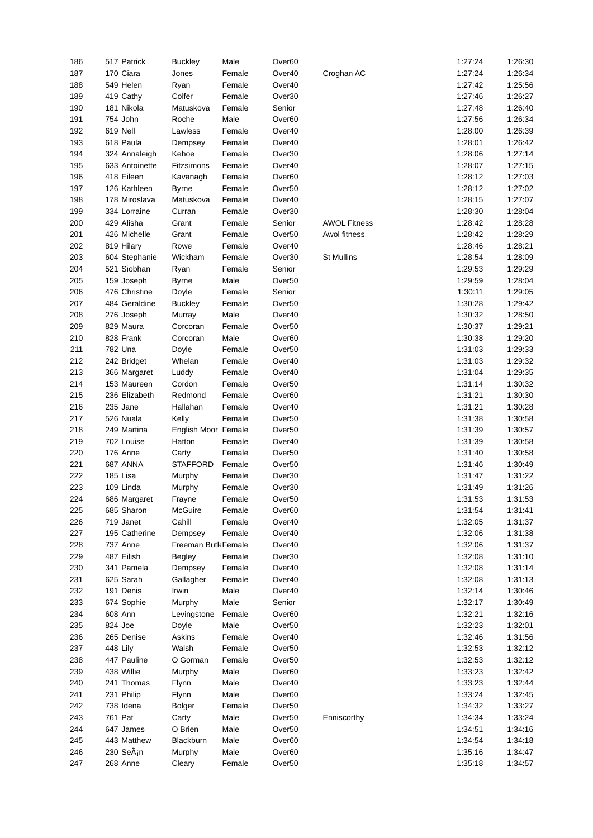| 186 | 517 Patrick    | <b>Buckley</b>      | Male   | Over <sub>60</sub> |                     | 1:27:24 | 1:26:30 |
|-----|----------------|---------------------|--------|--------------------|---------------------|---------|---------|
| 187 | 170 Ciara      | Jones               | Female | Over40             | Croghan AC          | 1:27:24 | 1:26:34 |
| 188 | 549 Helen      | Ryan                | Female | Over40             |                     | 1:27:42 | 1:25:56 |
| 189 | 419 Cathy      | Colfer              | Female | Over30             |                     | 1:27:46 | 1:26:27 |
| 190 | 181 Nikola     | Matuskova           | Female | Senior             |                     | 1:27:48 | 1:26:40 |
| 191 | 754 John       | Roche               | Male   | Over <sub>60</sub> |                     | 1:27:56 | 1:26:34 |
| 192 | 619 Nell       | Lawless             | Female | Over40             |                     | 1:28:00 | 1:26:39 |
| 193 | 618 Paula      | Dempsey             | Female | Over40             |                     | 1:28:01 | 1:26:42 |
| 194 | 324 Annaleigh  | Kehoe               | Female | Over30             |                     | 1:28:06 | 1:27:14 |
| 195 | 633 Antoinette | Fitzsimons          | Female | Over40             |                     | 1:28:07 | 1:27:15 |
| 196 | 418 Eileen     | Kavanagh            | Female | Over <sub>60</sub> |                     | 1:28:12 | 1:27:03 |
| 197 | 126 Kathleen   | <b>Byrne</b>        | Female | Over <sub>50</sub> |                     | 1:28:12 | 1:27:02 |
| 198 | 178 Miroslava  | Matuskova           | Female | Over40             |                     | 1:28:15 | 1:27:07 |
| 199 | 334 Lorraine   | Curran              | Female | Over30             |                     | 1:28:30 | 1:28:04 |
|     | 429 Alisha     |                     |        |                    |                     | 1:28:42 | 1:28:28 |
| 200 |                | Grant               | Female | Senior             | <b>AWOL Fitness</b> |         |         |
| 201 | 426 Michelle   | Grant               | Female | Over <sub>50</sub> | Awol fitness        | 1:28:42 | 1:28:29 |
| 202 | 819 Hilary     | Rowe                | Female | Over40             |                     | 1:28:46 | 1:28:21 |
| 203 | 604 Stephanie  | Wickham             | Female | Over30             | <b>St Mullins</b>   | 1:28:54 | 1:28:09 |
| 204 | 521 Siobhan    | Ryan                | Female | Senior             |                     | 1:29:53 | 1:29:29 |
| 205 | 159 Joseph     | <b>Byrne</b>        | Male   | Over <sub>50</sub> |                     | 1:29:59 | 1:28:04 |
| 206 | 476 Christine  | Doyle               | Female | Senior             |                     | 1:30:11 | 1:29:05 |
| 207 | 484 Geraldine  | <b>Buckley</b>      | Female | Over <sub>50</sub> |                     | 1:30:28 | 1:29:42 |
| 208 | 276 Joseph     | Murray              | Male   | Over40             |                     | 1:30:32 | 1:28:50 |
| 209 | 829 Maura      | Corcoran            | Female | Over <sub>50</sub> |                     | 1:30:37 | 1:29:21 |
| 210 | 828 Frank      | Corcoran            | Male   | Over <sub>60</sub> |                     | 1:30:38 | 1:29:20 |
| 211 | 782 Una        | Doyle               | Female | Over <sub>50</sub> |                     | 1:31:03 | 1:29:33 |
| 212 | 242 Bridget    | Whelan              | Female | Over40             |                     | 1:31:03 | 1:29:32 |
| 213 | 366 Margaret   | Luddy               | Female | Over40             |                     | 1:31:04 | 1:29:35 |
| 214 | 153 Maureen    | Cordon              | Female | Over <sub>50</sub> |                     | 1:31:14 | 1:30:32 |
| 215 | 236 Elizabeth  | Redmond             | Female | Over <sub>60</sub> |                     | 1:31:21 | 1:30:30 |
| 216 | 235 Jane       | Hallahan            | Female | Over40             |                     | 1:31:21 | 1:30:28 |
| 217 | 526 Nuala      | Kelly               | Female | Over <sub>50</sub> |                     | 1:31:38 | 1:30:58 |
| 218 | 249 Martina    | English Moor Female |        | Over <sub>50</sub> |                     | 1:31:39 | 1:30:57 |
| 219 | 702 Louise     | Hatton              | Female | Over40             |                     | 1:31:39 | 1:30:58 |
| 220 | 176 Anne       | Carty               | Female | Over <sub>50</sub> |                     | 1:31:40 | 1:30:58 |
| 221 | 687 ANNA       | <b>STAFFORD</b>     | Female | Over <sub>50</sub> |                     | 1:31:46 | 1:30:49 |
| 222 | 185 Lisa       |                     |        | Over30             |                     | 1:31:47 | 1:31:22 |
| 223 | 109 Linda      | Murphy              | Female |                    |                     | 1:31:49 |         |
| 224 |                | Murphy              | Female | Over30             |                     |         | 1:31:26 |
|     | 686 Margaret   | Frayne              | Female | Over <sub>50</sub> |                     | 1:31:53 | 1:31:53 |
| 225 | 685 Sharon     | McGuire             | Female | Over60             |                     | 1:31:54 | 1:31:41 |
| 226 | 719 Janet      | Cahill              | Female | Over40             |                     | 1:32:05 | 1:31:37 |
| 227 | 195 Catherine  | Dempsey             | Female | Over40             |                     | 1:32:06 | 1:31:38 |
| 228 | 737 Anne       | Freeman Butk Female |        | Over40             |                     | 1:32:06 | 1:31:37 |
| 229 | 487 Eilish     | Begley              | Female | Over30             |                     | 1:32:08 | 1:31:10 |
| 230 | 341 Pamela     | Dempsey             | Female | Over40             |                     | 1:32:08 | 1:31:14 |
| 231 | 625 Sarah      | Gallagher           | Female | Over40             |                     | 1:32:08 | 1:31:13 |
| 232 | 191 Denis      | Irwin               | Male   | Over40             |                     | 1:32:14 | 1:30:46 |
| 233 | 674 Sophie     | Murphy              | Male   | Senior             |                     | 1:32:17 | 1:30:49 |
| 234 | 608 Ann        | Levingstone         | Female | Over <sub>60</sub> |                     | 1:32:21 | 1:32:16 |
| 235 | 824 Joe        | Doyle               | Male   | Over <sub>50</sub> |                     | 1:32:23 | 1:32:01 |
| 236 | 265 Denise     | Askins              | Female | Over40             |                     | 1:32:46 | 1:31:56 |
| 237 | 448 Lily       | Walsh               | Female | Over <sub>50</sub> |                     | 1:32:53 | 1:32:12 |
| 238 | 447 Pauline    | O Gorman            | Female | Over <sub>50</sub> |                     | 1:32:53 | 1:32:12 |
| 239 | 438 Willie     | Murphy              | Male   | Over <sub>60</sub> |                     | 1:33:23 | 1:32:42 |
| 240 | 241 Thomas     | Flynn               | Male   | Over40             |                     | 1:33:23 | 1:32:44 |
| 241 | 231 Philip     | Flynn               | Male   | Over <sub>60</sub> |                     | 1:33:24 | 1:32:45 |
| 242 | 738 Idena      | Bolger              | Female | Over <sub>50</sub> |                     | 1:34:32 | 1:33:27 |
| 243 | 761 Pat        | Carty               | Male   | Over <sub>50</sub> | Enniscorthy         | 1:34:34 | 1:33:24 |
| 244 | 647 James      | O Brien             | Male   | Over <sub>50</sub> |                     | 1:34:51 | 1:34:16 |
| 245 | 443 Matthew    | Blackburn           | Male   | Over <sub>60</sub> |                     | 1:34:54 | 1:34:18 |
| 246 | 230 Seán       | Murphy              | Male   | Over <sub>60</sub> |                     | 1:35:16 | 1:34:47 |
|     |                |                     |        |                    |                     |         |         |
| 247 | 268 Anne       | Cleary              | Female | Over <sub>50</sub> |                     | 1:35:18 | 1:34:57 |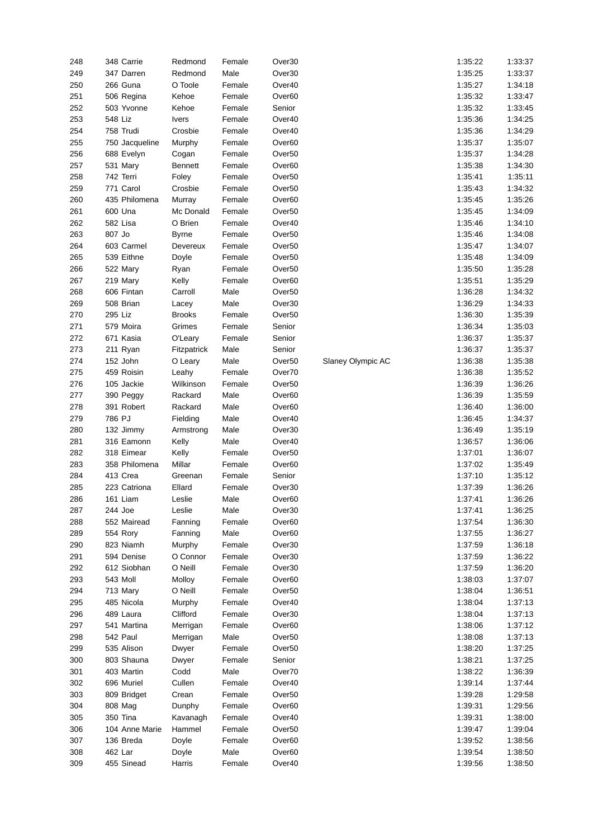| 248 | 348 Carrie      | Redmond        | Female | Over30             |                   | 1:35:22 | 1:33:37 |
|-----|-----------------|----------------|--------|--------------------|-------------------|---------|---------|
| 249 | 347 Darren      | Redmond        | Male   | Over30             |                   | 1:35:25 | 1:33:37 |
| 250 | 266 Guna        | O Toole        | Female | Over40             |                   | 1:35:27 | 1:34:18 |
| 251 | 506 Regina      | Kehoe          | Female | Over60             |                   | 1:35:32 | 1:33:47 |
| 252 | 503 Yvonne      | Kehoe          | Female | Senior             |                   | 1:35:32 | 1:33:45 |
| 253 | 548 Liz         | <b>Ivers</b>   | Female | Over40             |                   | 1:35:36 | 1:34:25 |
| 254 | 758 Trudi       | Crosbie        | Female | Over40             |                   | 1:35:36 | 1:34:29 |
| 255 | 750 Jacqueline  | Murphy         | Female | Over <sub>60</sub> |                   | 1:35:37 | 1:35:07 |
| 256 | 688 Evelyn      | Cogan          | Female | Over <sub>50</sub> |                   | 1:35:37 | 1:34:28 |
| 257 | 531 Mary        | <b>Bennett</b> | Female | Over <sub>60</sub> |                   | 1:35:38 | 1:34:30 |
| 258 | 742 Terri       | Foley          | Female | Over <sub>50</sub> |                   | 1:35:41 | 1:35:11 |
| 259 | 771 Carol       | Crosbie        | Female | Over <sub>50</sub> |                   | 1:35:43 | 1:34:32 |
| 260 | 435 Philomena   | Murray         | Female | Over <sub>60</sub> |                   | 1:35:45 | 1:35:26 |
| 261 | 600 Una         | Mc Donald      | Female | Over <sub>50</sub> |                   | 1:35:45 | 1:34:09 |
| 262 | 582 Lisa        | O Brien        | Female | Over40             |                   | 1:35:46 | 1:34:10 |
| 263 | 807 Jo          | <b>Byrne</b>   | Female | Over <sub>50</sub> |                   | 1:35:46 | 1:34:08 |
| 264 | 603 Carmel      | Devereux       | Female | Over <sub>50</sub> |                   | 1:35:47 | 1:34:07 |
| 265 | 539 Eithne      | Doyle          | Female | Over <sub>50</sub> |                   | 1:35:48 | 1:34:09 |
| 266 | 522 Mary        | Ryan           | Female | Over <sub>50</sub> |                   | 1:35:50 | 1:35:28 |
| 267 | 219 Mary        | Kelly          | Female | Over <sub>60</sub> |                   | 1:35:51 | 1:35:29 |
| 268 | 606 Fintan      | Carroll        | Male   | Over <sub>50</sub> |                   | 1:36:28 | 1:34:32 |
| 269 | 508 Brian       | Lacey          | Male   | Over30             |                   | 1:36:29 | 1:34:33 |
| 270 | 295 Liz         | <b>Brooks</b>  | Female | Over <sub>50</sub> |                   | 1:36:30 | 1:35:39 |
| 271 | 579 Moira       | Grimes         | Female | Senior             |                   | 1:36:34 | 1:35:03 |
| 272 | 671 Kasia       | O'Leary        | Female | Senior             |                   | 1:36:37 | 1:35:37 |
| 273 | 211 Ryan        | Fitzpatrick    | Male   | Senior             |                   | 1:36:37 | 1:35:37 |
| 274 | 152 John        | O Leary        | Male   | Over <sub>50</sub> | Slaney Olympic AC | 1:36:38 | 1:35:38 |
|     | 459 Roisin      |                | Female | Over70             |                   | 1:36:38 | 1:35:52 |
| 275 |                 | Leahy          |        |                    |                   | 1:36:39 | 1:36:26 |
| 276 | 105 Jackie      | Wilkinson      | Female | Over <sub>50</sub> |                   |         |         |
| 277 | 390 Peggy       | Rackard        | Male   | Over <sub>60</sub> |                   | 1:36:39 | 1:35:59 |
| 278 | 391 Robert      | Rackard        | Male   | Over60             |                   | 1:36:40 | 1:36:00 |
| 279 | 786 PJ          | Fielding       | Male   | Over40             |                   | 1:36:45 | 1:34:37 |
| 280 | 132 Jimmy       | Armstrong      | Male   | Over30             |                   | 1:36:49 | 1:35:19 |
| 281 | 316 Eamonn      | Kelly          | Male   | Over40             |                   | 1:36:57 | 1:36:06 |
| 282 | 318 Eimear      | Kelly          | Female | Over <sub>50</sub> |                   | 1:37:01 | 1:36:07 |
| 283 | 358 Philomena   | Millar         | Female | Over <sub>60</sub> |                   | 1:37:02 | 1:35:49 |
| 284 | 413 Crea        | Greenan        | Female | Senior             |                   | 1:37:10 | 1:35:12 |
| 285 | 223 Catriona    | Ellard         | Female | Over30             |                   | 1:37:39 | 1:36:26 |
| 286 | 161 Liam        | Leslie         | Male   | Over <sub>60</sub> |                   | 1:37:41 | 1:36:26 |
| 287 | 244 Joe         | Leslie         | Male   | Over30             |                   | 1:37:41 | 1:36:25 |
| 288 | 552 Mairead     | Fanning        | Female | Over60             |                   | 1:37:54 | 1:36:30 |
| 289 | 554 Rory        | Fanning        | Male   | Over <sub>60</sub> |                   | 1:37:55 | 1:36:27 |
| 290 | 823 Niamh       | Murphy         | Female | Over30             |                   | 1:37:59 | 1:36:18 |
| 291 | 594 Denise      | O Connor       | Female | Over30             |                   | 1:37:59 | 1:36:22 |
| 292 | 612 Siobhan     | O Neill        | Female | Over30             |                   | 1:37:59 | 1:36:20 |
| 293 | <b>543 Moll</b> |                | Female | Over <sub>60</sub> |                   |         | 1:37:07 |
| 294 |                 | Molloy         |        |                    |                   | 1:38:03 |         |
|     | 713 Mary        | O Neill        | Female | Over <sub>50</sub> |                   | 1:38:04 | 1:36:51 |
| 295 | 485 Nicola      | Murphy         | Female | Over40             |                   | 1:38:04 | 1:37:13 |
| 296 | 489 Laura       | Clifford       | Female | Over30             |                   | 1:38:04 | 1:37:13 |
| 297 | 541 Martina     | Merrigan       | Female | Over <sub>60</sub> |                   | 1:38:06 | 1:37:12 |
| 298 | 542 Paul        | Merrigan       | Male   | Over <sub>50</sub> |                   | 1:38:08 | 1:37:13 |
| 299 | 535 Alison      | Dwyer          | Female | Over <sub>50</sub> |                   | 1:38:20 | 1:37:25 |
| 300 | 803 Shauna      | Dwyer          | Female | Senior             |                   | 1:38:21 | 1:37:25 |
| 301 | 403 Martin      | Codd           | Male   | Over70             |                   | 1:38:22 | 1:36:39 |
| 302 | 696 Muriel      | Cullen         | Female | Over40             |                   | 1:39:14 | 1:37:44 |
| 303 | 809 Bridget     | Crean          | Female | Over <sub>50</sub> |                   | 1:39:28 | 1:29:58 |
| 304 | 808 Mag         | Dunphy         | Female | Over60             |                   | 1:39:31 | 1:29:56 |
| 305 | 350 Tina        | Kavanagh       | Female | Over40             |                   | 1:39:31 | 1:38:00 |
| 306 | 104 Anne Marie  | Hammel         | Female | Over <sub>50</sub> |                   | 1:39:47 | 1:39:04 |
| 307 | 136 Breda       | Doyle          | Female | Over <sub>60</sub> |                   | 1:39:52 | 1:38:56 |
| 308 | 462 Lar         | Doyle          | Male   | Over60             |                   | 1:39:54 | 1:38:50 |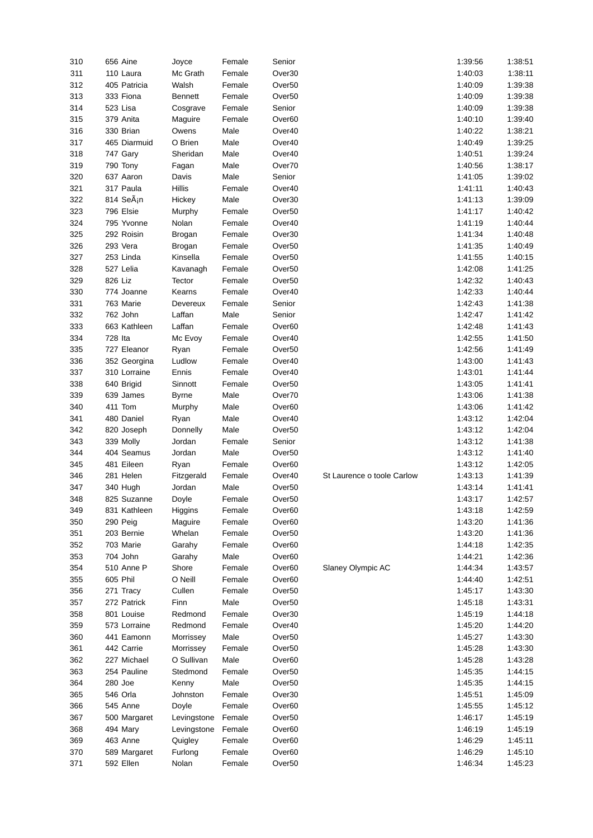| 310        | 656 Aine                  | Joyce            | Female           | Senior                                   |                            | 1:39:56            | 1:38:51            |
|------------|---------------------------|------------------|------------------|------------------------------------------|----------------------------|--------------------|--------------------|
| 311        | 110 Laura                 | Mc Grath         | Female           | Over30                                   |                            | 1:40:03            | 1:38:11            |
| 312        | 405 Patricia              | Walsh            | Female           | Over50                                   |                            | 1:40:09            | 1:39:38            |
| 313        | 333 Fiona                 | <b>Bennett</b>   | Female           | Over50                                   |                            | 1:40:09            | 1:39:38            |
| 314        | 523 Lisa                  | Cosgrave         | Female           | Senior                                   |                            | 1:40:09            | 1:39:38            |
|            |                           |                  |                  |                                          |                            |                    |                    |
| 315        | 379 Anita                 | Maguire          | Female           | Over <sub>60</sub>                       |                            | 1:40:10            | 1:39:40            |
| 316        | 330 Brian                 | Owens            | Male             | Over40                                   |                            | 1:40:22            | 1:38:21            |
| 317        | 465 Diarmuid              | O Brien          | Male             | Over40                                   |                            | 1:40:49            | 1:39:25            |
| 318        | 747 Gary                  | Sheridan         | Male             | Over40                                   |                            | 1:40:51            | 1:39:24            |
| 319        | 790 Tony                  | Fagan            | Male             | Over70                                   |                            | 1:40:56            | 1:38:17            |
| 320        | 637 Aaron                 | Davis            | Male             | Senior                                   |                            | 1:41:05            | 1:39:02            |
| 321        | 317 Paula                 | Hillis           | Female           | Over40                                   |                            | 1:41:11            | 1:40:43            |
| 322        | 814 SeÃ <sub>i</sub> n    |                  | Male             | Over30                                   |                            | 1:41:13            | 1:39:09            |
|            |                           | Hickey           |                  |                                          |                            |                    |                    |
| 323        | 796 Elsie                 | Murphy           | Female           | Over <sub>50</sub>                       |                            | 1:41:17            | 1:40:42            |
| 324        | 795 Yvonne                | Nolan            | Female           | Over40                                   |                            | 1:41:19            | 1:40:44            |
| 325        | 292 Roisin                | Brogan           | Female           | Over30                                   |                            | 1:41:34            | 1:40:48            |
| 326        | 293 Vera                  | Brogan           | Female           | Over <sub>50</sub>                       |                            | 1:41:35            | 1:40:49            |
| 327        | 253 Linda                 | Kinsella         | Female           | Over <sub>50</sub>                       |                            | 1:41:55            | 1:40:15            |
| 328        | 527 Lelia                 | Kavanagh         | Female           | Over <sub>50</sub>                       |                            | 1:42:08            | 1:41:25            |
| 329        | 826 Liz                   | Tector           | Female           | Over <sub>50</sub>                       |                            | 1:42:32            | 1:40:43            |
| 330        | 774 Joanne                | Kearns           | Female           | Over40                                   |                            | 1:42:33            | 1:40:44            |
|            |                           |                  |                  |                                          |                            |                    |                    |
| 331        | 763 Marie                 | Devereux         | Female           | Senior                                   |                            | 1:42:43            | 1:41:38            |
| 332        | 762 John                  | Laffan           | Male             | Senior                                   |                            | 1:42:47            | 1:41:42            |
| 333        | 663 Kathleen              | Laffan           | Female           | Over <sub>60</sub>                       |                            | 1:42:48            | 1:41:43            |
| 334        | 728 Ita                   | Mc Evoy          | Female           | Over40                                   |                            | 1:42:55            | 1:41:50            |
| 335        | 727 Eleanor               | Ryan             | Female           | Over <sub>50</sub>                       |                            | 1:42:56            | 1:41:49            |
| 336        | 352 Georgina              | Ludlow           | Female           | Over40                                   |                            | 1:43:00            | 1:41:43            |
| 337        | 310 Lorraine              | Ennis            | Female           | Over40                                   |                            | 1:43:01            | 1:41:44            |
| 338        | 640 Brigid                | Sinnott          | Female           | Over <sub>50</sub>                       |                            | 1:43:05            | 1:41:41            |
| 339        |                           |                  |                  |                                          |                            | 1:43:06            | 1:41:38            |
|            | 639 James                 | Byrne            | Male             | Over70                                   |                            |                    |                    |
| 340        | 411 Tom                   | Murphy           | Male             | Over60                                   |                            | 1:43:06            | 1:41:42            |
| 341        | 480 Daniel                | Ryan             | Male             | Over40                                   |                            | 1:43:12            | 1:42:04            |
| 342        | 820 Joseph                | Donnelly         | Male             | Over <sub>50</sub>                       |                            | 1:43:12            | 1:42:04            |
| 343        | 339 Molly                 | Jordan           | Female           | Senior                                   |                            | 1:43:12            | 1:41:38            |
| 344        | 404 Seamus                | Jordan           | Male             | Over <sub>50</sub>                       |                            | 1:43:12            | 1:41:40            |
| 345        | 481 Eileen                | Ryan             | Female           | Over <sub>60</sub>                       |                            | 1:43:12            | 1:42:05            |
| 346        | 281 Helen                 | Fitzgerald       | Female           | Over40                                   | St Laurence o toole Carlow | 1:43:13            | 1:41:39            |
| 347        | 340 Hugh                  | Jordan           | Male             | Over <sub>50</sub>                       |                            | 1:43:14            | 1:41:41            |
| 348        | 825 Suzanne               |                  |                  |                                          |                            |                    |                    |
| 349        |                           |                  |                  |                                          |                            |                    |                    |
| 350        |                           | Doyle            | Female           | Over <sub>50</sub>                       |                            | 1:43:17            | 1:42:57            |
|            | 831 Kathleen              | Higgins          | Female           | Over60                                   |                            | 1:43:18            | 1:42:59            |
|            | 290 Peig                  | Maguire          | Female           | Over60                                   |                            | 1:43:20            | 1:41:36            |
| 351        | 203 Bernie                | Whelan           | Female           | Over <sub>50</sub>                       |                            | 1:43:20            | 1:41:36            |
| 352        | 703 Marie                 | Garahy           | Female           | Over <sub>60</sub>                       |                            | 1:44:18            | 1:42:35            |
| 353        | 704 John                  | Garahy           | Male             | Over <sub>60</sub>                       |                            | 1:44:21            | 1:42:36            |
| 354        | 510 Anne P                | Shore            | Female           | Over <sub>60</sub>                       | Slaney Olympic AC          | 1:44:34            | 1:43:57            |
| 355        | 605 Phil                  | O Neill          | Female           | Over <sub>60</sub>                       |                            | 1:44:40            | 1:42:51            |
|            |                           |                  |                  |                                          |                            |                    |                    |
| 356        | 271 Tracy                 | Cullen           | Female           | Over <sub>50</sub>                       |                            | 1:45:17            | 1:43:30            |
| 357        | 272 Patrick               | Finn             | Male             | Over <sub>50</sub>                       |                            | 1:45:18            | 1:43:31            |
| 358        | 801 Louise                | Redmond          | Female           | Over30                                   |                            | 1:45:19            | 1:44:18            |
| 359        | 573 Lorraine              | Redmond          | Female           | Over40                                   |                            | 1:45:20            | 1:44:20            |
| 360        | 441 Eamonn                | Morrissey        | Male             | Over <sub>50</sub>                       |                            | 1:45:27            | 1:43:30            |
| 361        | 442 Carrie                | Morrissey        | Female           | Over <sub>50</sub>                       |                            | 1:45:28            | 1:43:30            |
| 362        | 227 Michael               | O Sullivan       | Male             | Over <sub>60</sub>                       |                            | 1:45:28            | 1:43:28            |
| 363        | 254 Pauline               | Stedmond         | Female           | Over <sub>50</sub>                       |                            | 1:45:35            | 1:44:15            |
| 364        | 280 Joe                   | Kenny            | Male             | Over <sub>50</sub>                       |                            | 1:45:35            | 1:44:15            |
| 365        | 546 Orla                  | Johnston         | Female           | Over30                                   |                            | 1:45:51            | 1:45:09            |
|            |                           |                  |                  |                                          |                            |                    |                    |
| 366        | 545 Anne                  | Doyle            | Female           | Over <sub>60</sub>                       |                            | 1:45:55            | 1:45:12            |
| 367        | 500 Margaret              | Levingstone      | Female           | Over <sub>50</sub>                       |                            | 1:46:17            | 1:45:19            |
| 368        | 494 Mary                  | Levingstone      | Female           | Over <sub>60</sub>                       |                            | 1:46:19            | 1:45:19            |
| 369        | 463 Anne                  | Quigley          | Female           | Over <sub>60</sub>                       |                            | 1:46:29            | 1:45:11            |
| 370<br>371 | 589 Margaret<br>592 Ellen | Furlong<br>Nolan | Female<br>Female | Over <sub>60</sub><br>Over <sub>50</sub> |                            | 1:46:29<br>1:46:34 | 1:45:10<br>1:45:23 |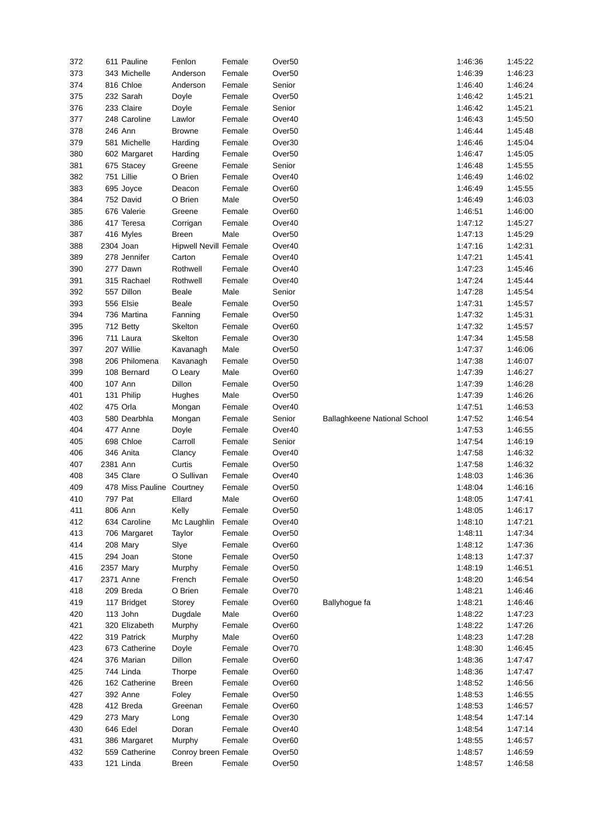| 372 |            | 611 Pauline               | Fenlon                       | Female | Over <sub>50</sub> |                              | 1:46:36 | 1:45:22 |
|-----|------------|---------------------------|------------------------------|--------|--------------------|------------------------------|---------|---------|
| 373 |            | 343 Michelle              | Anderson                     | Female | Over <sub>50</sub> |                              | 1:46:39 | 1:46:23 |
| 374 |            | 816 Chloe                 | Anderson                     | Female | Senior             |                              | 1:46:40 | 1:46:24 |
| 375 |            | 232 Sarah                 | Doyle                        | Female | Over <sub>50</sub> |                              | 1:46:42 | 1:45:21 |
| 376 |            | 233 Claire                | Doyle                        | Female | Senior             |                              | 1:46:42 | 1:45:21 |
| 377 |            | 248 Caroline              | Lawlor                       | Female | Over40             |                              | 1:46:43 | 1:45:50 |
| 378 | 246 Ann    |                           | <b>Browne</b>                | Female | Over <sub>50</sub> |                              | 1:46:44 | 1:45:48 |
| 379 |            | 581 Michelle              | Harding                      | Female | Over30             |                              | 1:46:46 | 1:45:04 |
| 380 |            | 602 Margaret              | Harding                      | Female | Over <sub>50</sub> |                              | 1:46:47 | 1:45:05 |
| 381 |            | 675 Stacey                | Greene                       | Female | Senior             |                              | 1:46:48 | 1:45:55 |
| 382 | 751 Lillie |                           | O Brien                      | Female | Over40             |                              | 1:46:49 | 1:46:02 |
| 383 |            | 695 Joyce                 | Deacon                       | Female | Over <sub>60</sub> |                              | 1:46:49 | 1:45:55 |
| 384 |            | 752 David                 | O Brien                      | Male   | Over <sub>50</sub> |                              | 1:46:49 | 1:46:03 |
| 385 |            | 676 Valerie               | Greene                       | Female | Over <sub>60</sub> |                              | 1:46:51 | 1:46:00 |
| 386 |            |                           |                              |        |                    |                              | 1:47:12 | 1:45:27 |
|     |            | 417 Teresa                | Corrigan                     | Female | Over40             |                              |         |         |
| 387 |            | 416 Myles                 | <b>Breen</b>                 | Male   | Over <sub>50</sub> |                              | 1:47:13 | 1:45:29 |
| 388 | 2304 Joan  |                           | <b>Hipwell Nevill Female</b> |        | Over40             |                              | 1:47:16 | 1:42:31 |
| 389 |            | 278 Jennifer              | Carton                       | Female | Over40             |                              | 1:47:21 | 1:45:41 |
| 390 |            | 277 Dawn                  | Rothwell                     | Female | Over40             |                              | 1:47:23 | 1:45:46 |
| 391 |            | 315 Rachael               | Rothwell                     | Female | Over40             |                              | 1:47:24 | 1:45:44 |
| 392 |            | 557 Dillon                | Beale                        | Male   | Senior             |                              | 1:47:28 | 1:45:54 |
| 393 |            | 556 Elsie                 | Beale                        | Female | Over <sub>50</sub> |                              | 1:47:31 | 1:45:57 |
| 394 |            | 736 Martina               | Fanning                      | Female | Over <sub>50</sub> |                              | 1:47:32 | 1:45:31 |
| 395 |            | 712 Betty                 | Skelton                      | Female | Over <sub>60</sub> |                              | 1:47:32 | 1:45:57 |
| 396 |            | 711 Laura                 | Skelton                      | Female | Over30             |                              | 1:47:34 | 1:45:58 |
| 397 |            | 207 Willie                | Kavanagh                     | Male   | Over <sub>50</sub> |                              | 1:47:37 | 1:46:06 |
| 398 |            | 206 Philomena             | Kavanagh                     | Female | Over <sub>50</sub> |                              | 1:47:38 | 1:46:07 |
| 399 |            | 108 Bernard               | O Leary                      | Male   | Over <sub>60</sub> |                              | 1:47:39 | 1:46:27 |
| 400 | 107 Ann    |                           | Dillon                       | Female | Over <sub>50</sub> |                              | 1:47:39 | 1:46:28 |
| 401 |            | 131 Philip                | Hughes                       | Male   | Over <sub>50</sub> |                              | 1:47:39 | 1:46:26 |
| 402 | 475 Orla   |                           | Mongan                       | Female | Over40             |                              | 1:47:51 | 1:46:53 |
| 403 |            | 580 Dearbhla              | Mongan                       | Female | Senior             | Ballaghkeene National School | 1:47:52 | 1:46:54 |
| 404 |            | 477 Anne                  | Doyle                        | Female | Over40             |                              | 1:47:53 | 1:46:55 |
| 405 |            | 698 Chloe                 | Carroll                      | Female | Senior             |                              | 1:47:54 | 1:46:19 |
| 406 |            | 346 Anita                 | Clancy                       | Female | Over40             |                              | 1:47:58 | 1:46:32 |
| 407 | 2381 Ann   |                           | Curtis                       | Female | Over <sub>50</sub> |                              | 1:47:58 | 1:46:32 |
| 408 |            | 345 Clare                 | O Sullivan                   | Female | Over40             |                              | 1:48:03 | 1:46:36 |
| 409 |            | 478 Miss Pauline Courtney |                              | Female | Over <sub>50</sub> |                              | 1:48:04 | 1:46:16 |
| 410 | 797 Pat    |                           | Ellard                       | Male   | Over <sub>60</sub> |                              | 1:48:05 | 1:47:41 |
| 411 | 806 Ann    |                           | Kelly                        | Female | Over <sub>50</sub> |                              | 1:48:05 | 1:46:17 |
| 412 |            | 634 Caroline              | Mc Laughlin                  | Female | Over40             |                              | 1:48:10 | 1:47:21 |
| 413 |            | 706 Margaret              | Taylor                       | Female | Over <sub>50</sub> |                              | 1:48:11 | 1:47:34 |
| 414 |            | 208 Mary                  | Slye                         | Female | Over <sub>60</sub> |                              | 1:48:12 | 1:47:36 |
| 415 |            | 294 Joan                  | Stone                        | Female | Over <sub>50</sub> |                              | 1:48:13 | 1:47:37 |
| 416 | 2357 Mary  |                           | Murphy                       | Female | Over <sub>50</sub> |                              | 1:48:19 | 1:46:51 |
| 417 | 2371 Anne  |                           | French                       | Female | Over <sub>50</sub> |                              | 1:48:20 | 1:46:54 |
| 418 |            | 209 Breda                 | O Brien                      | Female | Over70             |                              | 1:48:21 | 1:46:46 |
| 419 |            | 117 Bridget               | Storey                       | Female | Over <sub>60</sub> | Ballyhoque fa                | 1:48:21 | 1:46:46 |
| 420 |            | 113 John                  | Dugdale                      | Male   | Over <sub>60</sub> |                              | 1:48:22 | 1:47:23 |
| 421 |            | 320 Elizabeth             | Murphy                       | Female | Over <sub>60</sub> |                              | 1:48:22 | 1:47:26 |
| 422 |            | 319 Patrick               | Murphy                       | Male   | Over <sub>60</sub> |                              | 1:48:23 | 1:47:28 |
|     |            |                           |                              |        |                    |                              |         |         |
| 423 |            | 673 Catherine             | Doyle                        | Female | Over70             |                              | 1:48:30 | 1:46:45 |
| 424 |            | 376 Marian                | Dillon                       | Female | Over <sub>60</sub> |                              | 1:48:36 | 1:47:47 |
| 425 |            | 744 Linda                 | Thorpe                       | Female | Over60             |                              | 1:48:36 | 1:47:47 |
| 426 |            | 162 Catherine             | <b>Breen</b>                 | Female | Over <sub>60</sub> |                              | 1:48:52 | 1:46:56 |
| 427 |            | 392 Anne                  | Foley                        | Female | Over <sub>50</sub> |                              | 1:48:53 | 1:46:55 |
| 428 |            | 412 Breda                 | Greenan                      | Female | Over <sub>60</sub> |                              | 1:48:53 | 1:46:57 |
| 429 |            | 273 Mary                  | Long                         | Female | Over30             |                              | 1:48:54 | 1:47:14 |
| 430 |            | 646 Edel                  | Doran                        | Female | Over40             |                              | 1:48:54 | 1:47:14 |
| 431 |            | 386 Margaret              | Murphy                       | Female | Over <sub>60</sub> |                              | 1:48:55 | 1:46:57 |
| 432 |            | 559 Catherine             | Conroy breen Female          |        | Over <sub>50</sub> |                              | 1:48:57 | 1:46:59 |
| 433 |            | 121 Linda                 | <b>Breen</b>                 | Female | Over <sub>50</sub> |                              | 1:48:57 | 1:46:58 |
|     |            |                           |                              |        |                    |                              |         |         |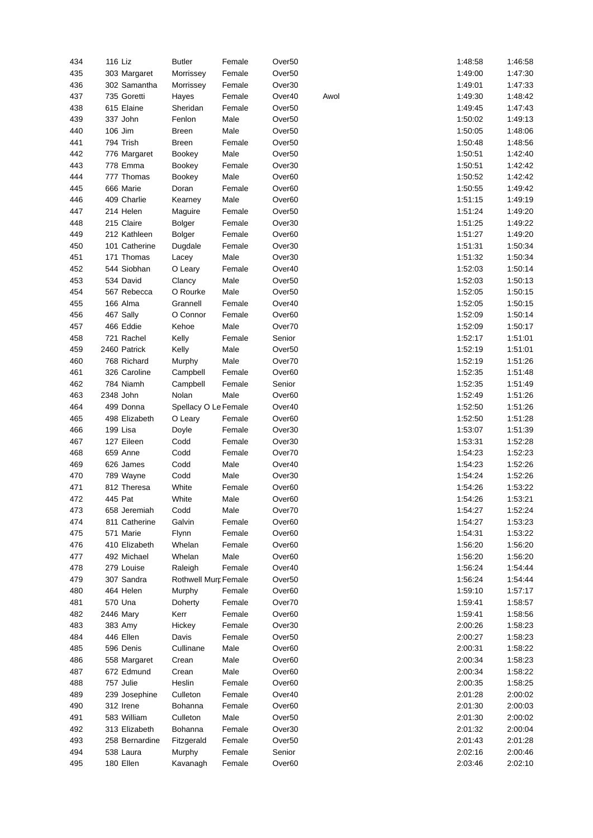| 434 | 116 Liz        | <b>Butler</b>        | Female | Over <sub>50</sub> |      | 1:48:58 | 1:46:58 |
|-----|----------------|----------------------|--------|--------------------|------|---------|---------|
| 435 | 303 Margaret   | Morrissey            | Female | Over <sub>50</sub> |      | 1:49:00 | 1:47:30 |
| 436 | 302 Samantha   | Morrissey            | Female | Over30             |      | 1:49:01 | 1:47:33 |
| 437 | 735 Goretti    | Hayes                | Female | Over40             | Awol | 1:49:30 | 1:48:42 |
| 438 | 615 Elaine     | Sheridan             | Female | Over <sub>50</sub> |      | 1:49:45 | 1:47:43 |
| 439 | 337 John       | Fenlon               | Male   | Over <sub>50</sub> |      | 1:50:02 | 1:49:13 |
| 440 | 106 Jim        | <b>Breen</b>         | Male   | Over <sub>50</sub> |      | 1:50:05 | 1:48:06 |
| 441 | 794 Trish      | <b>Breen</b>         | Female | Over <sub>50</sub> |      | 1:50:48 | 1:48:56 |
| 442 | 776 Margaret   | <b>Bookey</b>        | Male   | Over <sub>50</sub> |      | 1:50:51 | 1:42:40 |
| 443 | 778 Emma       | <b>Bookey</b>        | Female | Over30             |      | 1:50:51 | 1:42:42 |
| 444 | 777 Thomas     | <b>Bookey</b>        | Male   | Over <sub>60</sub> |      | 1:50:52 | 1:42:42 |
| 445 | 666 Marie      | Doran                | Female | Over <sub>60</sub> |      | 1:50:55 | 1:49:42 |
| 446 | 409 Charlie    | Kearney              | Male   | Over <sub>60</sub> |      | 1:51:15 | 1:49:19 |
| 447 |                |                      |        | Over <sub>50</sub> |      | 1:51:24 | 1:49:20 |
|     | 214 Helen      | Maguire              | Female |                    |      |         |         |
| 448 | 215 Claire     | <b>Bolger</b>        | Female | Over30             |      | 1:51:25 | 1:49:22 |
| 449 | 212 Kathleen   | Bolger               | Female | Over <sub>60</sub> |      | 1:51:27 | 1:49:20 |
| 450 | 101 Catherine  | Dugdale              | Female | Over30             |      | 1:51:31 | 1:50:34 |
| 451 | 171 Thomas     | Lacey                | Male   | Over30             |      | 1:51:32 | 1:50:34 |
| 452 | 544 Siobhan    | O Leary              | Female | Over40             |      | 1:52:03 | 1:50:14 |
| 453 | 534 David      | Clancy               | Male   | Over <sub>50</sub> |      | 1:52:03 | 1:50:13 |
| 454 | 567 Rebecca    | O Rourke             | Male   | Over <sub>50</sub> |      | 1:52:05 | 1:50:15 |
| 455 | 166 Alma       | Grannell             | Female | Over40             |      | 1:52:05 | 1:50:15 |
| 456 | 467 Sally      | O Connor             | Female | Over <sub>60</sub> |      | 1:52:09 | 1:50:14 |
| 457 | 466 Eddie      | Kehoe                | Male   | Over70             |      | 1:52:09 | 1:50:17 |
| 458 | 721 Rachel     | Kelly                | Female | Senior             |      | 1:52:17 | 1:51:01 |
| 459 | 2460 Patrick   | Kelly                | Male   | Over <sub>50</sub> |      | 1:52:19 | 1:51:01 |
| 460 | 768 Richard    | Murphy               | Male   | Over70             |      | 1:52:19 | 1:51:26 |
| 461 | 326 Caroline   | Campbell             | Female | Over60             |      | 1:52:35 | 1:51:48 |
| 462 | 784 Niamh      | Campbell             | Female | Senior             |      | 1:52:35 | 1:51:49 |
| 463 | 2348 John      | Nolan                | Male   | Over <sub>60</sub> |      | 1:52:49 | 1:51:26 |
| 464 | 499 Donna      | Spellacy O Le Female |        | Over40             |      | 1:52:50 | 1:51:26 |
| 465 | 498 Elizabeth  | O Leary              | Female | Over <sub>60</sub> |      | 1:52:50 | 1:51:28 |
| 466 | 199 Lisa       | Doyle                | Female | Over30             |      | 1:53:07 | 1:51:39 |
| 467 | 127 Eileen     | Codd                 | Female | Over30             |      | 1:53:31 | 1:52:28 |
| 468 | 659 Anne       | Codd                 | Female | Over70             |      | 1:54:23 | 1:52:23 |
| 469 | 626 James      | Codd                 | Male   | Over40             |      | 1:54:23 | 1:52:26 |
| 470 | 789 Wayne      | Codd                 | Male   | Over30             |      | 1:54:24 | 1:52:26 |
| 471 | 812 Theresa    | White                | Female | Over <sub>60</sub> |      | 1:54:26 | 1:53:22 |
| 472 | 445 Pat        | White                | Male   | Over <sub>60</sub> |      | 1:54:26 | 1:53:21 |
| 473 | 658 Jeremiah   | Codd                 | Male   | Over70             |      | 1:54:27 | 1:52:24 |
| 474 | 811 Catherine  | Galvin               | Female | Over60             |      | 1:54:27 | 1:53:23 |
| 475 | 571 Marie      | Flynn                | Female | Over <sub>60</sub> |      | 1:54:31 | 1:53:22 |
| 476 | 410 Elizabeth  | Whelan               | Female | Over <sub>60</sub> |      | 1:56:20 | 1:56:20 |
| 477 | 492 Michael    | Whelan               | Male   | Over <sub>60</sub> |      | 1:56:20 | 1:56:20 |
| 478 | 279 Louise     | Raleigh              | Female | Over40             |      | 1:56:24 | 1:54:44 |
| 479 | 307 Sandra     | Rothwell Murr Female |        | Over <sub>50</sub> |      | 1:56:24 | 1:54:44 |
| 480 | 464 Helen      | Murphy               | Female | Over <sub>60</sub> |      | 1:59:10 | 1:57:17 |
| 481 | 570 Una        | Doherty              | Female | Over70             |      | 1:59:41 | 1:58:57 |
| 482 | 2446 Mary      | Kerr                 | Female | Over <sub>60</sub> |      | 1:59:41 | 1:58:56 |
| 483 | 383 Amy        | Hickey               | Female | Over30             |      | 2:00:26 | 1:58:23 |
| 484 | 446 Ellen      | Davis                | Female | Over <sub>50</sub> |      | 2:00:27 | 1:58:23 |
| 485 | 596 Denis      | Cullinane            | Male   | Over <sub>60</sub> |      | 2:00:31 | 1:58:22 |
| 486 | 558 Margaret   | Crean                | Male   | Over <sub>60</sub> |      | 2:00:34 | 1:58:23 |
| 487 | 672 Edmund     | Crean                | Male   | Over60             |      | 2:00:34 | 1:58:22 |
| 488 | 757 Julie      | Heslin               | Female | Over <sub>60</sub> |      | 2:00:35 | 1:58:25 |
| 489 |                | Culleton             |        |                    |      | 2:01:28 |         |
|     | 239 Josephine  |                      | Female | Over40             |      |         | 2:00:02 |
| 490 | 312 Irene      | Bohanna              | Female | Over <sub>60</sub> |      | 2:01:30 | 2:00:03 |
| 491 | 583 William    | Culleton             | Male   | Over <sub>50</sub> |      | 2:01:30 | 2:00:02 |
| 492 | 313 Elizabeth  | <b>Bohanna</b>       | Female | Over30             |      | 2:01:32 | 2:00:04 |
| 493 | 258 Bernardine | Fitzgerald           | Female | Over <sub>50</sub> |      | 2:01:43 | 2:01:28 |
| 494 | 538 Laura      | Murphy               | Female | Senior             |      | 2:02:16 | 2:00:46 |
| 495 | 180 Ellen      | Kavanagh             | Female | Over <sub>60</sub> |      | 2:03:46 | 2:02:10 |